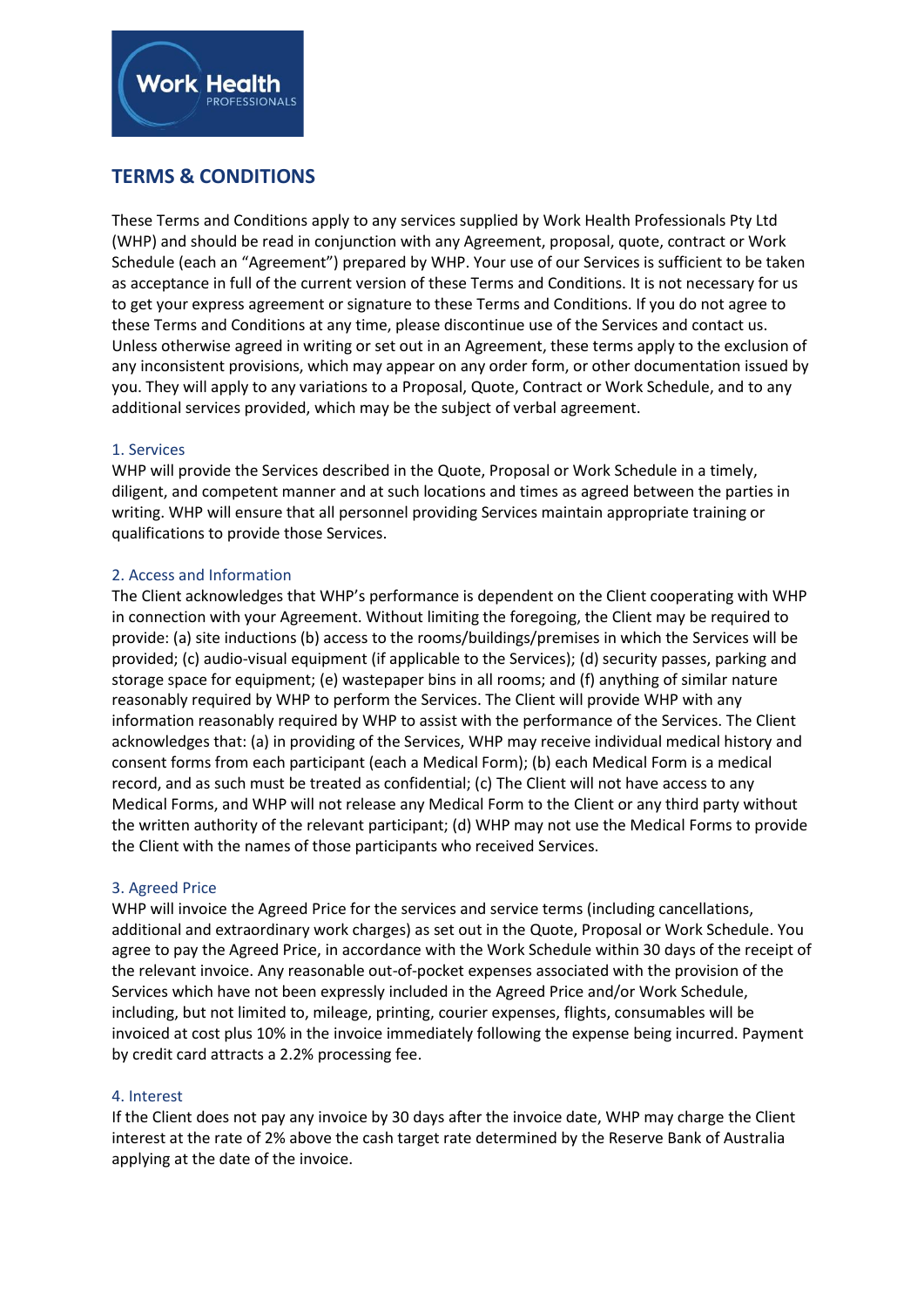

# **TERMS & CONDITIONS**

These Terms and Conditions apply to any services supplied by Work Health Professionals Pty Ltd (WHP) and should be read in conjunction with any Agreement, proposal, quote, contract or Work Schedule (each an "Agreement") prepared by WHP. Your use of our Services is sufficient to be taken as acceptance in full of the current version of these Terms and Conditions. It is not necessary for us to get your express agreement or signature to these Terms and Conditions. If you do not agree to these Terms and Conditions at any time, please discontinue use of the Services and contact us. Unless otherwise agreed in writing or set out in an Agreement, these terms apply to the exclusion of any inconsistent provisions, which may appear on any order form, or other documentation issued by you. They will apply to any variations to a Proposal, Quote, Contract or Work Schedule, and to any additional services provided, which may be the subject of verbal agreement.

# 1. Services

WHP will provide the Services described in the Quote, Proposal or Work Schedule in a timely, diligent, and competent manner and at such locations and times as agreed between the parties in writing. WHP will ensure that all personnel providing Services maintain appropriate training or qualifications to provide those Services.

# 2. Access and Information

The Client acknowledges that WHP's performance is dependent on the Client cooperating with WHP in connection with your Agreement. Without limiting the foregoing, the Client may be required to provide: (a) site inductions (b) access to the rooms/buildings/premises in which the Services will be provided; (c) audio-visual equipment (if applicable to the Services); (d) security passes, parking and storage space for equipment; (e) wastepaper bins in all rooms; and (f) anything of similar nature reasonably required by WHP to perform the Services. The Client will provide WHP with any information reasonably required by WHP to assist with the performance of the Services. The Client acknowledges that: (a) in providing of the Services, WHP may receive individual medical history and consent forms from each participant (each a Medical Form); (b) each Medical Form is a medical record, and as such must be treated as confidential; (c) The Client will not have access to any Medical Forms, and WHP will not release any Medical Form to the Client or any third party without the written authority of the relevant participant; (d) WHP may not use the Medical Forms to provide the Client with the names of those participants who received Services.

# 3. Agreed Price

WHP will invoice the Agreed Price for the services and service terms (including cancellations, additional and extraordinary work charges) as set out in the Quote, Proposal or Work Schedule. You agree to pay the Agreed Price, in accordance with the Work Schedule within 30 days of the receipt of the relevant invoice. Any reasonable out-of-pocket expenses associated with the provision of the Services which have not been expressly included in the Agreed Price and/or Work Schedule, including, but not limited to, mileage, printing, courier expenses, flights, consumables will be invoiced at cost plus 10% in the invoice immediately following the expense being incurred. Payment by credit card attracts a 2.2% processing fee.

# 4. Interest

If the Client does not pay any invoice by 30 days after the invoice date, WHP may charge the Client interest at the rate of 2% above the cash target rate determined by the Reserve Bank of Australia applying at the date of the invoice.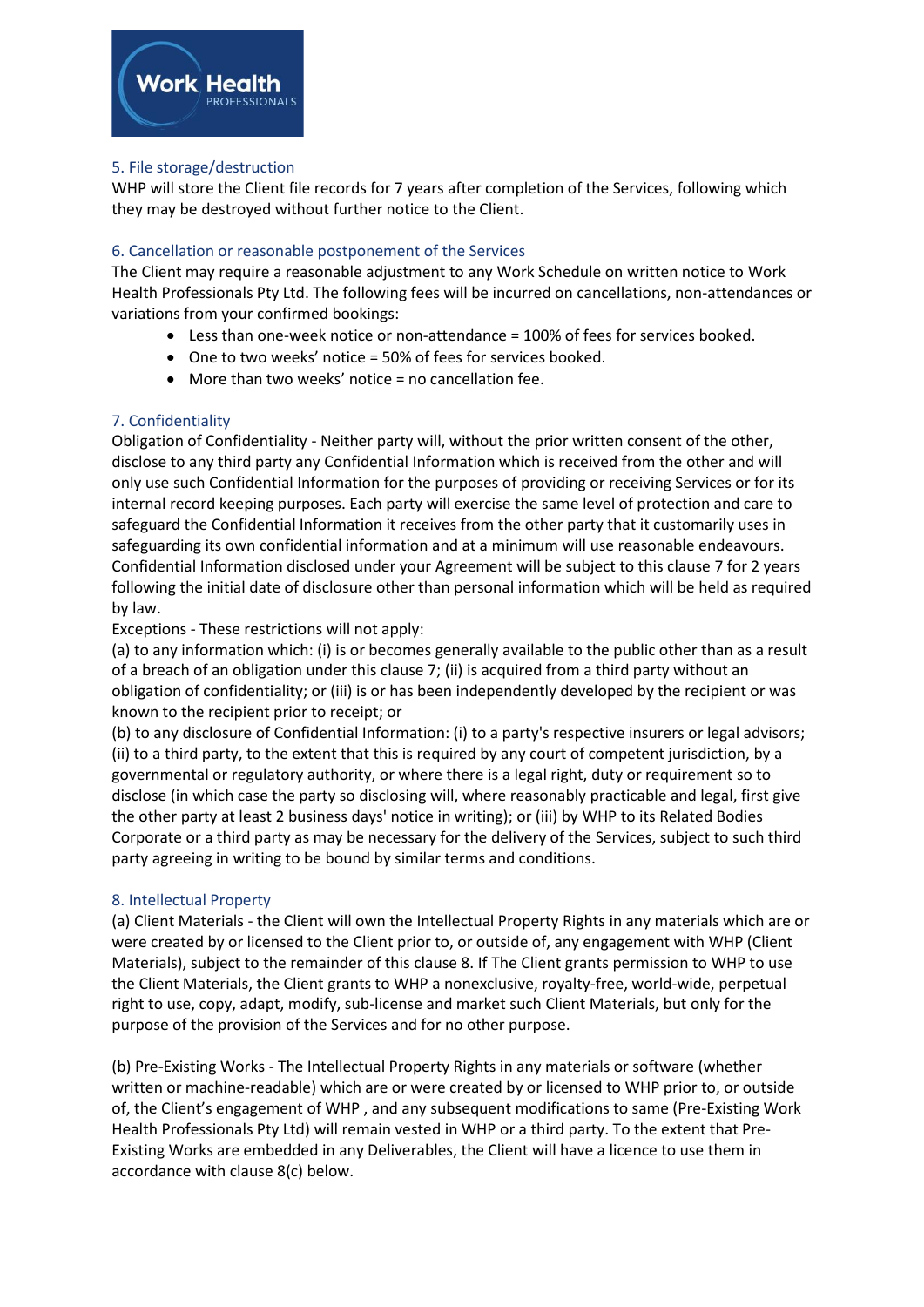

# 5. File storage/destruction

WHP will store the Client file records for 7 years after completion of the Services, following which they may be destroyed without further notice to the Client.

# 6. Cancellation or reasonable postponement of the Services

The Client may require a reasonable adjustment to any Work Schedule on written notice to Work Health Professionals Pty Ltd. The following fees will be incurred on cancellations, non-attendances or variations from your confirmed bookings:

- Less than one-week notice or non-attendance = 100% of fees for services booked.
- One to two weeks' notice = 50% of fees for services booked.
- More than two weeks' notice = no cancellation fee.

# 7. Confidentiality

Obligation of Confidentiality - Neither party will, without the prior written consent of the other, disclose to any third party any Confidential Information which is received from the other and will only use such Confidential Information for the purposes of providing or receiving Services or for its internal record keeping purposes. Each party will exercise the same level of protection and care to safeguard the Confidential Information it receives from the other party that it customarily uses in safeguarding its own confidential information and at a minimum will use reasonable endeavours. Confidential Information disclosed under your Agreement will be subject to this clause 7 for 2 years following the initial date of disclosure other than personal information which will be held as required by law.

Exceptions - These restrictions will not apply:

(a) to any information which: (i) is or becomes generally available to the public other than as a result of a breach of an obligation under this clause 7; (ii) is acquired from a third party without an obligation of confidentiality; or (iii) is or has been independently developed by the recipient or was known to the recipient prior to receipt; or

(b) to any disclosure of Confidential Information: (i) to a party's respective insurers or legal advisors; (ii) to a third party, to the extent that this is required by any court of competent jurisdiction, by a governmental or regulatory authority, or where there is a legal right, duty or requirement so to disclose (in which case the party so disclosing will, where reasonably practicable and legal, first give the other party at least 2 business days' notice in writing); or (iii) by WHP to its Related Bodies Corporate or a third party as may be necessary for the delivery of the Services, subject to such third party agreeing in writing to be bound by similar terms and conditions.

# 8. Intellectual Property

(a) Client Materials - the Client will own the Intellectual Property Rights in any materials which are or were created by or licensed to the Client prior to, or outside of, any engagement with WHP (Client Materials), subject to the remainder of this clause 8. If The Client grants permission to WHP to use the Client Materials, the Client grants to WHP a nonexclusive, royalty-free, world-wide, perpetual right to use, copy, adapt, modify, sub-license and market such Client Materials, but only for the purpose of the provision of the Services and for no other purpose.

(b) Pre-Existing Works - The Intellectual Property Rights in any materials or software (whether written or machine-readable) which are or were created by or licensed to WHP prior to, or outside of, the Client's engagement of WHP , and any subsequent modifications to same (Pre-Existing Work Health Professionals Pty Ltd) will remain vested in WHP or a third party. To the extent that Pre-Existing Works are embedded in any Deliverables, the Client will have a licence to use them in accordance with clause 8(c) below.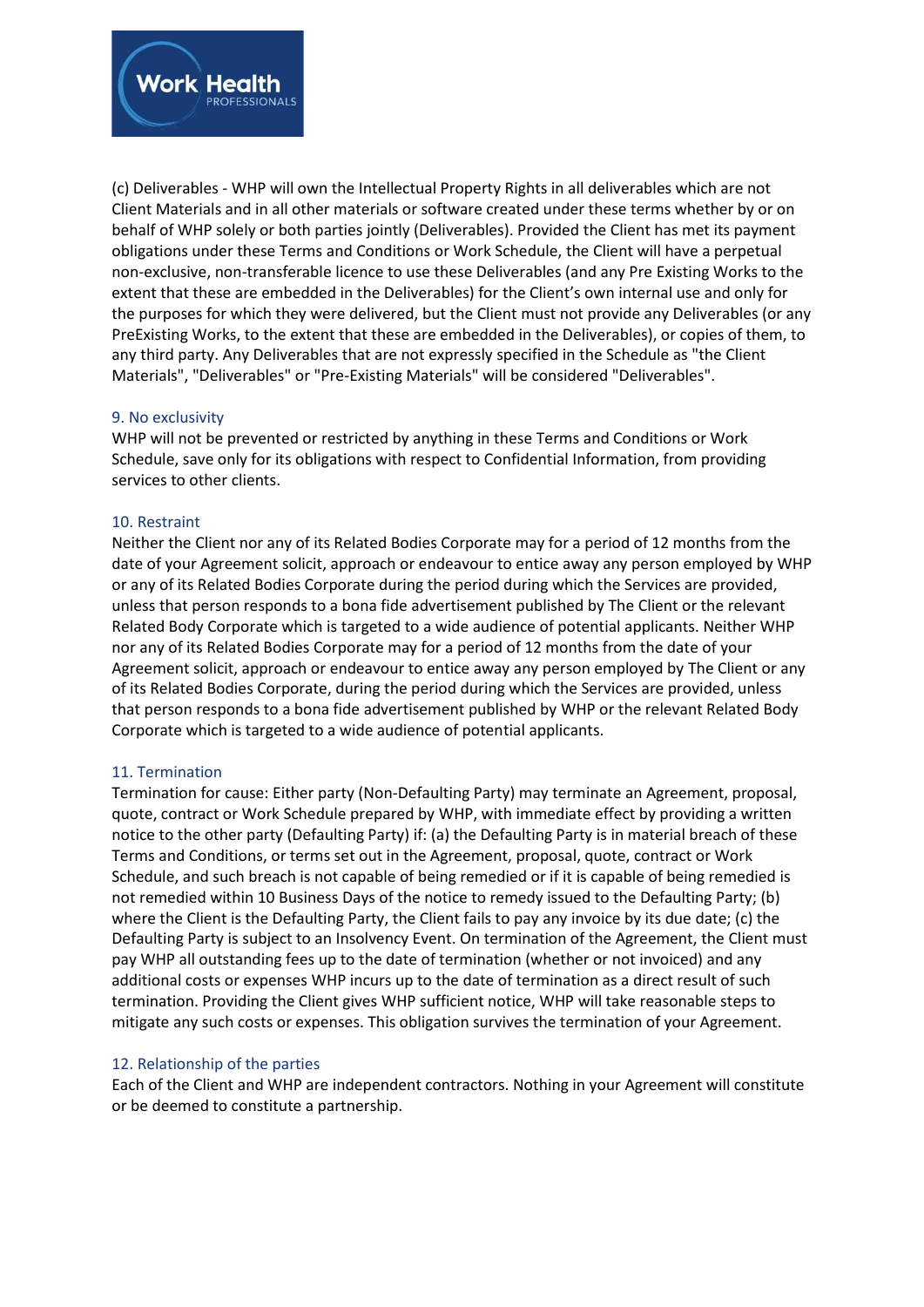

(c) Deliverables - WHP will own the Intellectual Property Rights in all deliverables which are not Client Materials and in all other materials or software created under these terms whether by or on behalf of WHP solely or both parties jointly (Deliverables). Provided the Client has met its payment obligations under these Terms and Conditions or Work Schedule, the Client will have a perpetual non-exclusive, non-transferable licence to use these Deliverables (and any Pre Existing Works to the extent that these are embedded in the Deliverables) for the Client's own internal use and only for the purposes for which they were delivered, but the Client must not provide any Deliverables (or any PreExisting Works, to the extent that these are embedded in the Deliverables), or copies of them, to any third party. Any Deliverables that are not expressly specified in the Schedule as "the Client Materials", "Deliverables" or "Pre-Existing Materials" will be considered "Deliverables".

### 9. No exclusivity

WHP will not be prevented or restricted by anything in these Terms and Conditions or Work Schedule, save only for its obligations with respect to Confidential Information, from providing services to other clients.

### 10. Restraint

Neither the Client nor any of its Related Bodies Corporate may for a period of 12 months from the date of your Agreement solicit, approach or endeavour to entice away any person employed by WHP or any of its Related Bodies Corporate during the period during which the Services are provided, unless that person responds to a bona fide advertisement published by The Client or the relevant Related Body Corporate which is targeted to a wide audience of potential applicants. Neither WHP nor any of its Related Bodies Corporate may for a period of 12 months from the date of your Agreement solicit, approach or endeavour to entice away any person employed by The Client or any of its Related Bodies Corporate, during the period during which the Services are provided, unless that person responds to a bona fide advertisement published by WHP or the relevant Related Body Corporate which is targeted to a wide audience of potential applicants.

# 11. Termination

Termination for cause: Either party (Non-Defaulting Party) may terminate an Agreement, proposal, quote, contract or Work Schedule prepared by WHP, with immediate effect by providing a written notice to the other party (Defaulting Party) if: (a) the Defaulting Party is in material breach of these Terms and Conditions, or terms set out in the Agreement, proposal, quote, contract or Work Schedule, and such breach is not capable of being remedied or if it is capable of being remedied is not remedied within 10 Business Days of the notice to remedy issued to the Defaulting Party; (b) where the Client is the Defaulting Party, the Client fails to pay any invoice by its due date; (c) the Defaulting Party is subject to an Insolvency Event. On termination of the Agreement, the Client must pay WHP all outstanding fees up to the date of termination (whether or not invoiced) and any additional costs or expenses WHP incurs up to the date of termination as a direct result of such termination. Providing the Client gives WHP sufficient notice, WHP will take reasonable steps to mitigate any such costs or expenses. This obligation survives the termination of your Agreement.

#### 12. Relationship of the parties

Each of the Client and WHP are independent contractors. Nothing in your Agreement will constitute or be deemed to constitute a partnership.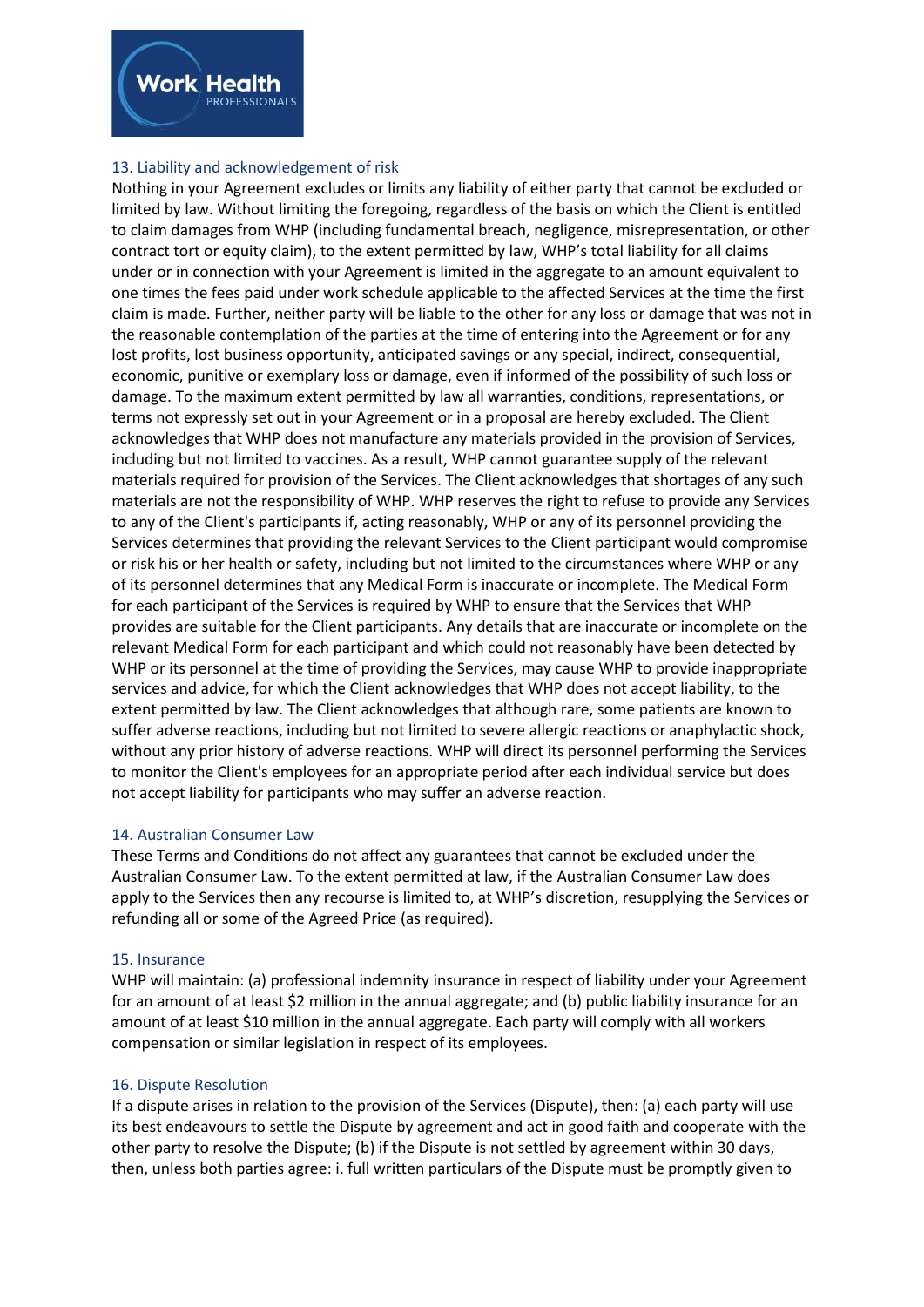

# 13. Liability and acknowledgement of risk

Nothing in your Agreement excludes or limits any liability of either party that cannot be excluded or limited by law. Without limiting the foregoing, regardless of the basis on which the Client is entitled to claim damages from WHP (including fundamental breach, negligence, misrepresentation, or other contract tort or equity claim), to the extent permitted by law, WHP's total liability for all claims under or in connection with your Agreement is limited in the aggregate to an amount equivalent to one times the fees paid under work schedule applicable to the affected Services at the time the first claim is made. Further, neither party will be liable to the other for any loss or damage that was not in the reasonable contemplation of the parties at the time of entering into the Agreement or for any lost profits, lost business opportunity, anticipated savings or any special, indirect, consequential, economic, punitive or exemplary loss or damage, even if informed of the possibility of such loss or damage. To the maximum extent permitted by law all warranties, conditions, representations, or terms not expressly set out in your Agreement or in a proposal are hereby excluded. The Client acknowledges that WHP does not manufacture any materials provided in the provision of Services, including but not limited to vaccines. As a result, WHP cannot guarantee supply of the relevant materials required for provision of the Services. The Client acknowledges that shortages of any such materials are not the responsibility of WHP. WHP reserves the right to refuse to provide any Services to any of the Client's participants if, acting reasonably, WHP or any of its personnel providing the Services determines that providing the relevant Services to the Client participant would compromise or risk his or her health or safety, including but not limited to the circumstances where WHP or any of its personnel determines that any Medical Form is inaccurate or incomplete. The Medical Form for each participant of the Services is required by WHP to ensure that the Services that WHP provides are suitable for the Client participants. Any details that are inaccurate or incomplete on the relevant Medical Form for each participant and which could not reasonably have been detected by WHP or its personnel at the time of providing the Services, may cause WHP to provide inappropriate services and advice, for which the Client acknowledges that WHP does not accept liability, to the extent permitted by law. The Client acknowledges that although rare, some patients are known to suffer adverse reactions, including but not limited to severe allergic reactions or anaphylactic shock, without any prior history of adverse reactions. WHP will direct its personnel performing the Services to monitor the Client's employees for an appropriate period after each individual service but does not accept liability for participants who may suffer an adverse reaction.

# 14. Australian Consumer Law

These Terms and Conditions do not affect any guarantees that cannot be excluded under the Australian Consumer Law. To the extent permitted at law, if the Australian Consumer Law does apply to the Services then any recourse is limited to, at WHP's discretion, resupplying the Services or refunding all or some of the Agreed Price (as required).

# 15. Insurance

WHP will maintain: (a) professional indemnity insurance in respect of liability under your Agreement for an amount of at least \$2 million in the annual aggregate; and (b) public liability insurance for an amount of at least \$10 million in the annual aggregate. Each party will comply with all workers compensation or similar legislation in respect of its employees.

# 16. Dispute Resolution

If a dispute arises in relation to the provision of the Services (Dispute), then: (a) each party will use its best endeavours to settle the Dispute by agreement and act in good faith and cooperate with the other party to resolve the Dispute; (b) if the Dispute is not settled by agreement within 30 days, then, unless both parties agree: i. full written particulars of the Dispute must be promptly given to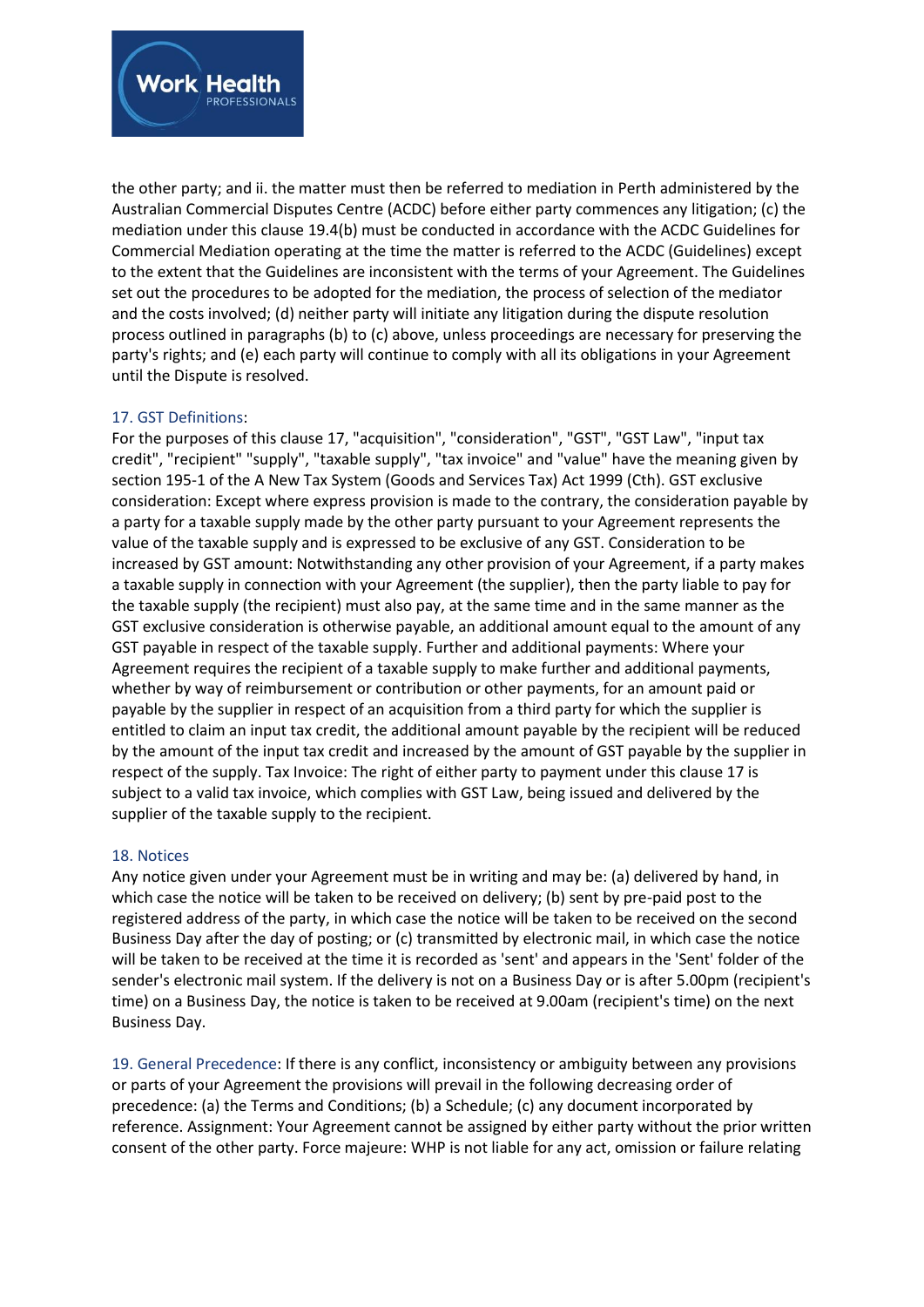

the other party; and ii. the matter must then be referred to mediation in Perth administered by the Australian Commercial Disputes Centre (ACDC) before either party commences any litigation; (c) the mediation under this clause 19.4(b) must be conducted in accordance with the ACDC Guidelines for Commercial Mediation operating at the time the matter is referred to the ACDC (Guidelines) except to the extent that the Guidelines are inconsistent with the terms of your Agreement. The Guidelines set out the procedures to be adopted for the mediation, the process of selection of the mediator and the costs involved; (d) neither party will initiate any litigation during the dispute resolution process outlined in paragraphs (b) to (c) above, unless proceedings are necessary for preserving the party's rights; and (e) each party will continue to comply with all its obligations in your Agreement until the Dispute is resolved.

# 17. GST Definitions:

For the purposes of this clause 17, "acquisition", "consideration", "GST", "GST Law", "input tax credit", "recipient" "supply", "taxable supply", "tax invoice" and "value" have the meaning given by section 195-1 of the A New Tax System (Goods and Services Tax) Act 1999 (Cth). GST exclusive consideration: Except where express provision is made to the contrary, the consideration payable by a party for a taxable supply made by the other party pursuant to your Agreement represents the value of the taxable supply and is expressed to be exclusive of any GST. Consideration to be increased by GST amount: Notwithstanding any other provision of your Agreement, if a party makes a taxable supply in connection with your Agreement (the supplier), then the party liable to pay for the taxable supply (the recipient) must also pay, at the same time and in the same manner as the GST exclusive consideration is otherwise payable, an additional amount equal to the amount of any GST payable in respect of the taxable supply. Further and additional payments: Where your Agreement requires the recipient of a taxable supply to make further and additional payments, whether by way of reimbursement or contribution or other payments, for an amount paid or payable by the supplier in respect of an acquisition from a third party for which the supplier is entitled to claim an input tax credit, the additional amount payable by the recipient will be reduced by the amount of the input tax credit and increased by the amount of GST payable by the supplier in respect of the supply. Tax Invoice: The right of either party to payment under this clause 17 is subject to a valid tax invoice, which complies with GST Law, being issued and delivered by the supplier of the taxable supply to the recipient.

# 18. Notices

Any notice given under your Agreement must be in writing and may be: (a) delivered by hand, in which case the notice will be taken to be received on delivery; (b) sent by pre-paid post to the registered address of the party, in which case the notice will be taken to be received on the second Business Day after the day of posting; or (c) transmitted by electronic mail, in which case the notice will be taken to be received at the time it is recorded as 'sent' and appears in the 'Sent' folder of the sender's electronic mail system. If the delivery is not on a Business Day or is after 5.00pm (recipient's time) on a Business Day, the notice is taken to be received at 9.00am (recipient's time) on the next Business Day.

19. General Precedence: If there is any conflict, inconsistency or ambiguity between any provisions or parts of your Agreement the provisions will prevail in the following decreasing order of precedence: (a) the Terms and Conditions; (b) a Schedule; (c) any document incorporated by reference. Assignment: Your Agreement cannot be assigned by either party without the prior written consent of the other party. Force majeure: WHP is not liable for any act, omission or failure relating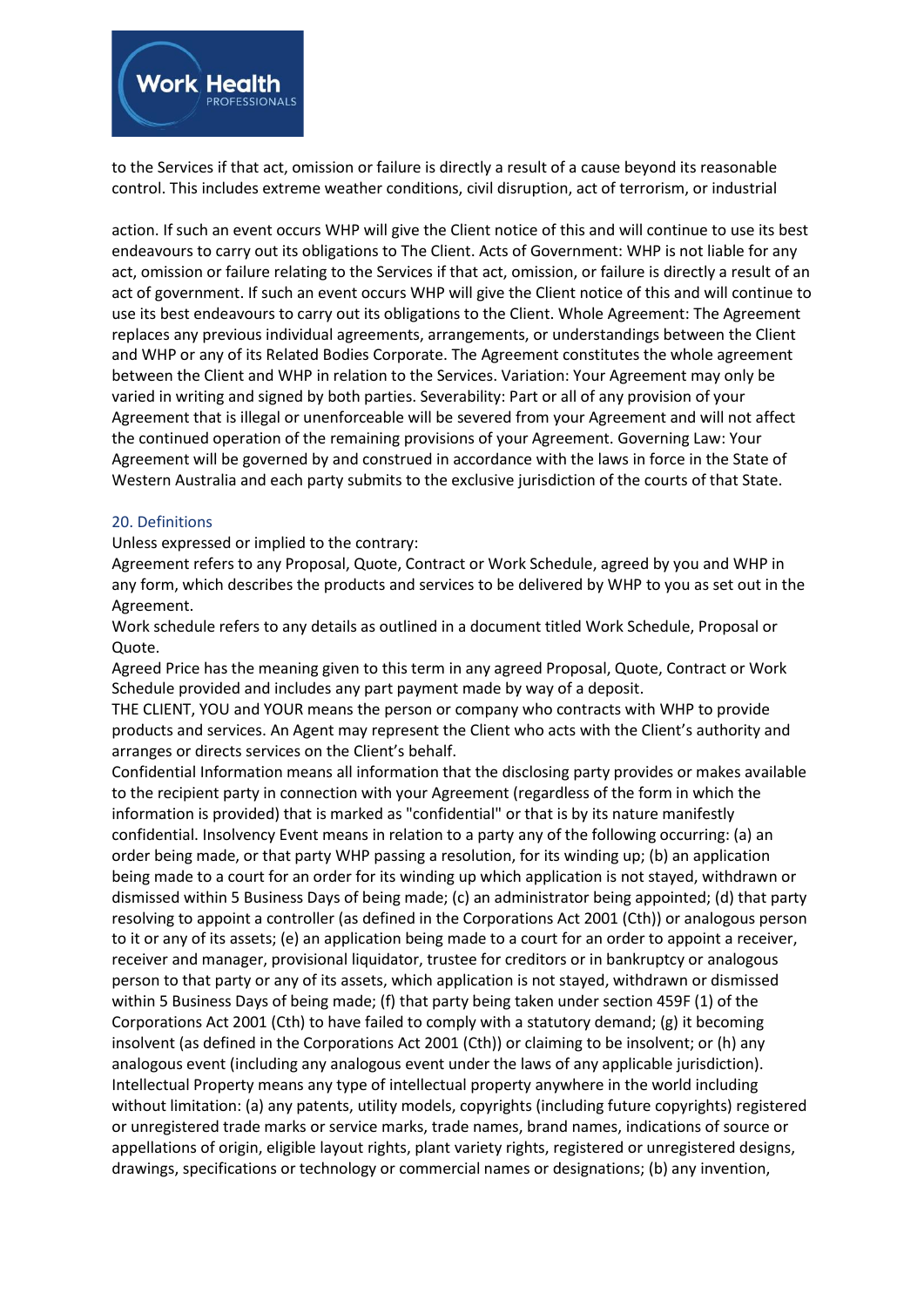

to the Services if that act, omission or failure is directly a result of a cause beyond its reasonable control. This includes extreme weather conditions, civil disruption, act of terrorism, or industrial

action. If such an event occurs WHP will give the Client notice of this and will continue to use its best endeavours to carry out its obligations to The Client. Acts of Government: WHP is not liable for any act, omission or failure relating to the Services if that act, omission, or failure is directly a result of an act of government. If such an event occurs WHP will give the Client notice of this and will continue to use its best endeavours to carry out its obligations to the Client. Whole Agreement: The Agreement replaces any previous individual agreements, arrangements, or understandings between the Client and WHP or any of its Related Bodies Corporate. The Agreement constitutes the whole agreement between the Client and WHP in relation to the Services. Variation: Your Agreement may only be varied in writing and signed by both parties. Severability: Part or all of any provision of your Agreement that is illegal or unenforceable will be severed from your Agreement and will not affect the continued operation of the remaining provisions of your Agreement. Governing Law: Your Agreement will be governed by and construed in accordance with the laws in force in the State of Western Australia and each party submits to the exclusive jurisdiction of the courts of that State.

# 20. Definitions

### Unless expressed or implied to the contrary:

Agreement refers to any Proposal, Quote, Contract or Work Schedule, agreed by you and WHP in any form, which describes the products and services to be delivered by WHP to you as set out in the Agreement.

Work schedule refers to any details as outlined in a document titled Work Schedule, Proposal or Quote.

Agreed Price has the meaning given to this term in any agreed Proposal, Quote, Contract or Work Schedule provided and includes any part payment made by way of a deposit.

THE CLIENT, YOU and YOUR means the person or company who contracts with WHP to provide products and services. An Agent may represent the Client who acts with the Client's authority and arranges or directs services on the Client's behalf.

Confidential Information means all information that the disclosing party provides or makes available to the recipient party in connection with your Agreement (regardless of the form in which the information is provided) that is marked as "confidential" or that is by its nature manifestly confidential. Insolvency Event means in relation to a party any of the following occurring: (a) an order being made, or that party WHP passing a resolution, for its winding up; (b) an application being made to a court for an order for its winding up which application is not stayed, withdrawn or dismissed within 5 Business Days of being made; (c) an administrator being appointed; (d) that party resolving to appoint a controller (as defined in the Corporations Act 2001 (Cth)) or analogous person to it or any of its assets; (e) an application being made to a court for an order to appoint a receiver, receiver and manager, provisional liquidator, trustee for creditors or in bankruptcy or analogous person to that party or any of its assets, which application is not stayed, withdrawn or dismissed within 5 Business Days of being made; (f) that party being taken under section 459F (1) of the Corporations Act 2001 (Cth) to have failed to comply with a statutory demand; (g) it becoming insolvent (as defined in the Corporations Act 2001 (Cth)) or claiming to be insolvent; or (h) any analogous event (including any analogous event under the laws of any applicable jurisdiction). Intellectual Property means any type of intellectual property anywhere in the world including without limitation: (a) any patents, utility models, copyrights (including future copyrights) registered or unregistered trade marks or service marks, trade names, brand names, indications of source or appellations of origin, eligible layout rights, plant variety rights, registered or unregistered designs, drawings, specifications or technology or commercial names or designations; (b) any invention,